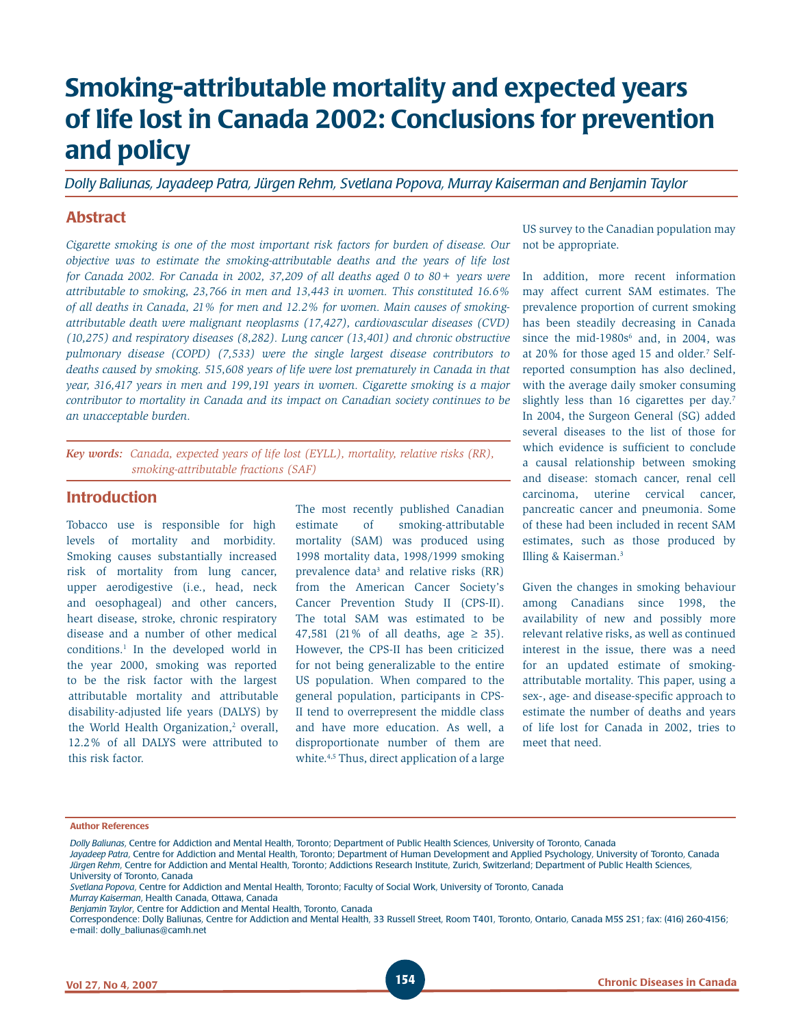# **Smoking-attributable mortality and expected years of life lost in Canada 2002: Conclusions for prevention and policy**

*Dolly Baliunas, Jayadeep Patra, Jürgen Rehm, Svetlana Popova, Murray Kaiserman and Benjamin Taylor*

### **Abstract**

*Cigarette smoking is one of the most important risk factors for burden of disease. Our objective was to estimate the smoking-attributable deaths and the years of life lost for Canada 2002. For Canada in 2002, 37,209 of all deaths aged 0 to 80+ years were attributable to smoking, 23,766 in men and 13,443 in women. This constituted 16.6% of all deaths in Canada, 21% for men and 12.2% for women. Main causes of smokingattributable death were malignant neoplasms (17,427), cardiovascular diseases (CVD) (10,275) and respiratory diseases (8,282). Lung cancer (13,401) and chronic obstructive pulmonary disease (COPD) (7,533) were the single largest disease contributors to deaths caused by smoking. 515,608 years of life were lost prematurely in Canada in that year, 316,417 years in men and 199,191 years in women. Cigarette smoking is a major contributor to mortality in Canada and its impact on Canadian society continues to be an unacceptable burden.*

*Key words: Canada, expected years of life lost (EYLL), mortality, relative risks (RR), smoking-attributable fractions (SAF)*

### **Introduction**

Tobacco use is responsible for high levels of mortality and morbidity. Smoking causes substantially increased risk of mortality from lung cancer, upper aerodigestive (i.e., head, neck and oesophageal) and other cancers, heart disease, stroke, chronic respiratory disease and a number of other medical conditions.<sup>1</sup> In the developed world in the year 2000, smoking was reported to be the risk factor with the largest attributable mortality and attributable disability-adjusted life years (DALYS) by the World Health Organization,<sup>2</sup> overall, 12.2% of all DALYS were attributed to this risk factor.

The most recently published Canadian estimate of smoking-attributable mortality (SAM) was produced using 1998 mortality data, 1998/1999 smoking prevalence data<sup>3</sup> and relative risks (RR) from the American Cancer Society's Cancer Prevention Study II (CPS-II). The total SAM was estimated to be 47,581 (21% of all deaths, age  $\geq$  35). However, the CPS-II has been criticized for not being generalizable to the entire US population. When compared to the general population, participants in CPS-II tend to overrepresent the middle class and have more education. As well, a disproportionate number of them are white.<sup>4,5</sup> Thus, direct application of a large

US survey to the Canadian population may not be appropriate.

In addition, more recent information may affect current SAM estimates. The prevalence proportion of current smoking has been steadily decreasing in Canada since the mid-1980 $s^6$  and, in 2004, was at 20% for those aged 15 and older.7 Selfreported consumption has also declined, with the average daily smoker consuming slightly less than 16 cigarettes per day.<sup>7</sup> In 2004, the Surgeon General (SG) added several diseases to the list of those for which evidence is sufficient to conclude a causal relationship between smoking and disease: stomach cancer, renal cell carcinoma, uterine cervical cancer, pancreatic cancer and pneumonia. Some of these had been included in recent SAM estimates, such as those produced by Illing & Kaiserman.3

Given the changes in smoking behaviour among Canadians since 1998, the availability of new and possibly more relevant relative risks, as well as continued interest in the issue, there was a need for an updated estimate of smokingattributable mortality. This paper, using a sex-, age- and disease-specific approach to estimate the number of deaths and years of life lost for Canada in 2002, tries to meet that need.

#### **Author References**

*Murray Kaiserman*, Health Canada, Ottawa, Canada

*Dolly Baliunas*, Centre for Addiction and Mental Health, Toronto; Department of Public Health Sciences, University of Toronto, Canada

*Jayadeep Patra*, Centre for Addiction and Mental Health, Toronto; Department of Human Development and Applied Psychology, University of Toronto, Canada *Jürgen Rehm*, Centre for Addiction and Mental Health, Toronto; Addictions Research Institute, Zurich, Switzerland; Department of Public Health Sciences, University of Toronto, Canada

*Svetlana Popova*, Centre for Addiction and Mental Health, Toronto; Faculty of Social Work, University of Toronto, Canada

*Benjamin Taylor*, Centre for Addiction and Mental Health, Toronto, Canada

Correspondence: Dolly Baliunas, Centre for Addiction and Mental Health, 33 Russell Street, Room T401, Toronto, Ontario, Canada M5S 2S1; fax: (416) 260-4156; e-mail: dolly\_baliunas@camh.net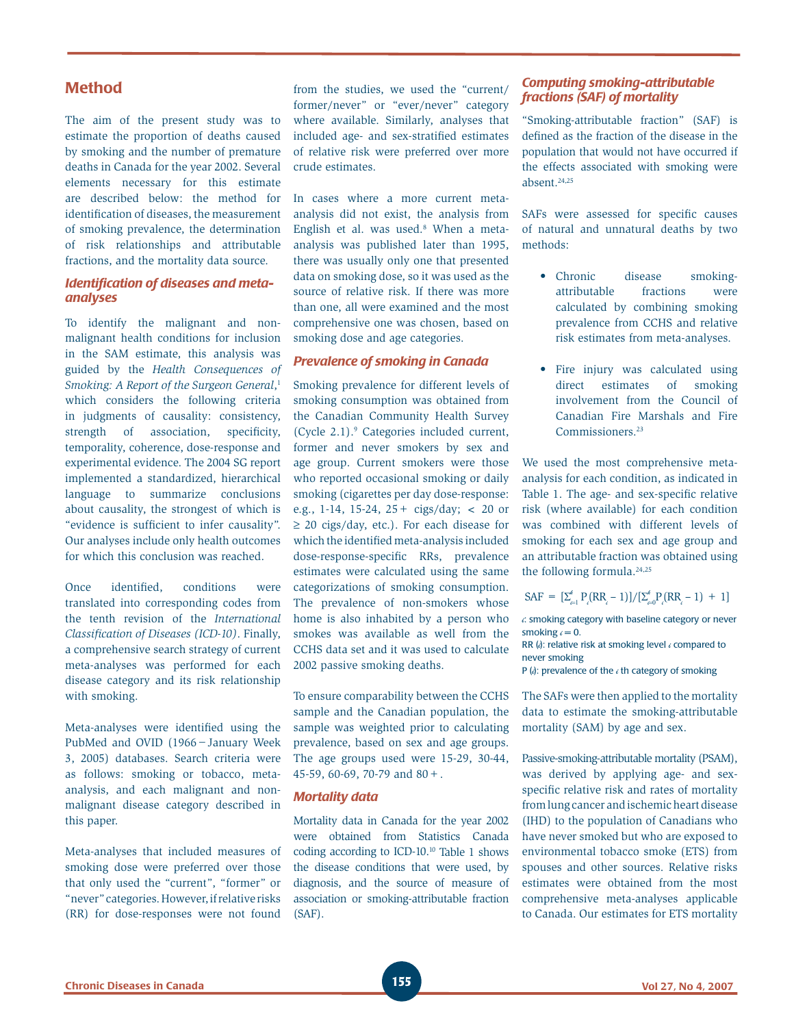## **Method**

The aim of the present study was to estimate the proportion of deaths caused by smoking and the number of premature deaths in Canada for the year 2002. Several elements necessary for this estimate are described below: the method for identification of diseases, the measurement of smoking prevalence, the determination of risk relationships and attributable fractions, and the mortality data source.

#### **Identification of diseases and meta***analyses*

To identify the malignant and nonmalignant health conditions for inclusion in the SAM estimate, this analysis was guided by the *Health Consequences of Smoking: A Report of the Surgeon General*, 1 which considers the following criteria in judgments of causality: consistency, strength of association, specificity, temporality, coherence, dose-response and experimental evidence. The 2004 SG report implemented a standardized, hierarchical language to summarize conclusions about causality, the strongest of which is "evidence is sufficient to infer causality". Our analyses include only health outcomes for which this conclusion was reached.

Once identified, conditions were translated into corresponding codes from the tenth revision of the *International Classification of Diseases (ICD-10)*. Finally, a comprehensive search strategy of current meta-analyses was performed for each disease category and its risk relationship with smoking.

Meta-analyses were identified using the PubMed and OVID (1966−January Week 3, 2005) databases. Search criteria were as follows: smoking or tobacco, metaanalysis, and each malignant and nonmalignant disease category described in this paper.

Meta-analyses that included measures of smoking dose were preferred over those that only used the "current", "former" or "never" categories. However, if relative risks (RR) for dose-responses were not found

from the studies, we used the "current/ former/never" or "ever/never" category where available. Similarly, analyses that included age- and sex-stratified estimates of relative risk were preferred over more crude estimates.

In cases where a more current metaanalysis did not exist, the analysis from English et al. was used.<sup>8</sup> When a metaanalysis was published later than 1995, there was usually only one that presented data on smoking dose, so it was used as the source of relative risk. If there was more than one, all were examined and the most comprehensive one was chosen, based on smoking dose and age categories.

#### *Prevalence of smoking in Canada*

Smoking prevalence for different levels of smoking consumption was obtained from the Canadian Community Health Survey (Cycle 2.1).9 Categories included current, former and never smokers by sex and age group. Current smokers were those who reported occasional smoking or daily smoking (cigarettes per day dose-response: e.g., 1-14, 15-24, 25+ cigs/day; < 20 or ≥ 20 cigs/day, etc.). For each disease for which the identified meta-analysis included dose-response-specific RRs, prevalence estimates were calculated using the same categorizations of smoking consumption. The prevalence of non-smokers whose home is also inhabited by a person who smokes was available as well from the CCHS data set and it was used to calculate 2002 passive smoking deaths.

To ensure comparability between the CCHS sample and the Canadian population, the sample was weighted prior to calculating prevalence, based on sex and age groups. The age groups used were 15-29, 30-44, 45-59, 60-69, 70-79 and 80+.

#### *Mortality data*

Mortality data in Canada for the year 2002 were obtained from Statistics Canada coding according to ICD-10.10 Table 1 shows the disease conditions that were used, by diagnosis, and the source of measure of association or smoking-attributable fraction (SAF).

### *Computing smoking-attributable fractions (SAF) of mortality*

"Smoking-attributable fraction" (SAF) is defined as the fraction of the disease in the population that would not have occurred if the effects associated with smoking were absent.24,25

SAFs were assessed for specific causes of natural and unnatural deaths by two methods:

- disease smokingattributable fractions were calculated by combining smoking prevalence from CCHS and relative risk estimates from meta-analyses. • Chronic
- Fire injury was calculated using direct estimates of smoking involvement from the Council of Canadian Fire Marshals and Fire Commissioners.23

We used the most comprehensive metaanalysis for each condition, as indicated in Table 1. The age- and sex-specific relative risk (where available) for each condition was combined with different levels of smoking for each sex and age group and an attributable fraction was obtained using the following formula.<sup>24,25</sup>

$$
SAF = \left[\sum_{i=1}^{6} P_i (RR_i - 1)\right] / \left[\sum_{i=0}^{6} P_i (RR_i - 1) + 1\right]
$$

*i*: smoking category with baseline category or never smoking  $i = 0$ .

RR (*i*): relative risk at smoking level *i* compared to never smoking

P (*i*): prevalence of the *i* th category of smoking

The SAFs were then applied to the mortality data to estimate the smoking-attributable mortality (SAM) by age and sex.

Passive-smoking-attributable mortality (PSAM), was derived by applying age- and sexspecific relative risk and rates of mortality from lung cancer and ischemic heart disease (IHD) to the population of Canadians who have never smoked but who are exposed to environmental tobacco smoke (ETS) from spouses and other sources. Relative risks estimates were obtained from the most comprehensive meta-analyses applicable to Canada. Our estimates for ETS mortality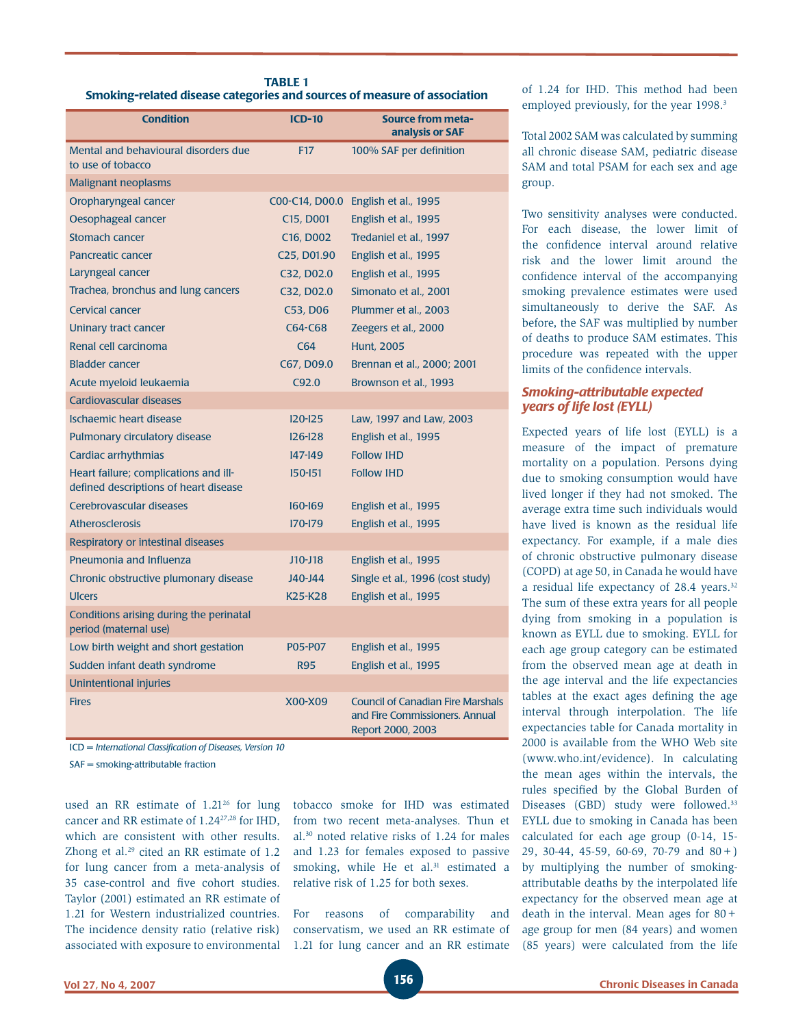| <b>TABLE 1</b>                                                           |
|--------------------------------------------------------------------------|
| Smoking-related disease categories and sources of measure of association |

| <b>Condition</b>                                                               | $ICD-10$                             | <b>Source from meta-</b><br>analysis or SAF                                                     |
|--------------------------------------------------------------------------------|--------------------------------------|-------------------------------------------------------------------------------------------------|
| Mental and behavioural disorders due<br>to use of tobacco                      | <b>F17</b>                           | 100% SAF per definition                                                                         |
| <b>Malignant neoplasms</b>                                                     |                                      |                                                                                                 |
| Oropharyngeal cancer                                                           | COO-C14, DOO.O                       | English et al., 1995                                                                            |
| Oesophageal cancer                                                             | C15, D001                            | English et al., 1995                                                                            |
| <b>Stomach cancer</b>                                                          | C <sub>16</sub> , D <sub>002</sub>   | Tredaniel et al., 1997                                                                          |
| <b>Pancreatic cancer</b>                                                       | C <sub>25</sub> , D <sub>01.90</sub> | English et al., 1995                                                                            |
| Laryngeal cancer                                                               | C32, D02.0                           | English et al., 1995                                                                            |
| Trachea, bronchus and lung cancers                                             | C32, D02.0                           | Simonato et al., 2001                                                                           |
| <b>Cervical cancer</b>                                                         | C53, D06                             | Plummer et al., 2003                                                                            |
| Uninary tract cancer                                                           | C64-C68                              | Zeegers et al., 2000                                                                            |
| Renal cell carcinoma                                                           | C64                                  | <b>Hunt, 2005</b>                                                                               |
| <b>Bladder cancer</b>                                                          | C67, D09.0                           | Brennan et al., 2000; 2001                                                                      |
| Acute myeloid leukaemia                                                        | C92.0                                | Brownson et al., 1993                                                                           |
| Cardiovascular diseases                                                        |                                      |                                                                                                 |
| Ischaemic heart disease                                                        | $120 - 125$                          | Law, 1997 and Law, 2003                                                                         |
| Pulmonary circulatory disease                                                  | $126 - 128$                          | English et al., 1995                                                                            |
| Cardiac arrhythmias                                                            | $147 - 149$                          | <b>Follow IHD</b>                                                                               |
| Heart failure; complications and ill-<br>defined descriptions of heart disease | $150 - 151$                          | <b>Follow IHD</b>                                                                               |
| Cerebrovascular diseases                                                       | 160-169                              | English et al., 1995                                                                            |
| <b>Atherosclerosis</b>                                                         | 170-179                              | English et al., 1995                                                                            |
| Respiratory or intestinal diseases                                             |                                      |                                                                                                 |
| Pneumonia and Influenza                                                        | $J10-J18$                            | English et al., 1995                                                                            |
| Chronic obstructive plumonary disease                                          | J40-J44                              | Single et al., 1996 (cost study)                                                                |
| <b>Ulcers</b>                                                                  | K <sub>25</sub> -K <sub>28</sub>     | English et al., 1995                                                                            |
| Conditions arising during the perinatal<br>period (maternal use)               |                                      |                                                                                                 |
| Low birth weight and short gestation                                           | P05-P07                              | English et al., 1995                                                                            |
| Sudden infant death syndrome                                                   | <b>R95</b>                           | English et al., 1995                                                                            |
| Unintentional injuries                                                         |                                      |                                                                                                 |
| <b>Fires</b>                                                                   | X00-X09                              | <b>Council of Canadian Fire Marshals</b><br>and Fire Commissioners. Annual<br>Report 2000, 2003 |

ICD = *International Classifi cation of Diseases, Version 10*

SAF = smoking-attributable fraction

used an RR estimate of 1.21<sup>26</sup> for lung cancer and RR estimate of 1.2427,28 for IHD, which are consistent with other results. Zhong et al.<sup>29</sup> cited an RR estimate of  $1.2$ for lung cancer from a meta-analysis of 35 case-control and five cohort studies. Taylor (2001) estimated an RR estimate of 1.21 for Western industrialized countries. The incidence density ratio (relative risk) associated with exposure to environmental

tobacco smoke for IHD was estimated from two recent meta-analyses. Thun et al.30 noted relative risks of 1.24 for males and 1.23 for females exposed to passive smoking, while He et al.<sup>31</sup> estimated a relative risk of 1.25 for both sexes.

For reasons of comparability and conservatism, we used an RR estimate of 1.21 for lung cancer and an RR estimate of 1.24 for IHD. This method had been employed previously, for the year 1998.<sup>3</sup>

Total 2002 SAM was calculated by summing all chronic disease SAM, pediatric disease SAM and total PSAM for each sex and age group.

Two sensitivity analyses were conducted. For each disease, the lower limit of the confidence interval around relative risk and the lower limit around the confidence interval of the accompanying smoking prevalence estimates were used simultaneously to derive the SAF. As before, the SAF was multiplied by number of deaths to produce SAM estimates. This procedure was repeated with the upper limits of the confidence intervals.

#### *Smoking-attributable expected years of life lost (EYLL)*

Expected years of life lost (EYLL) is a measure of the impact of premature mortality on a population. Persons dying due to smoking consumption would have lived longer if they had not smoked. The average extra time such individuals would have lived is known as the residual life expectancy. For example, if a male dies of chronic obstructive pulmonary disease (COPD) at age 50, in Canada he would have a residual life expectancy of 28.4 years.32 The sum of these extra years for all people dying from smoking in a population is known as EYLL due to smoking. EYLL for each age group category can be estimated from the observed mean age at death in the age interval and the life expectancies tables at the exact ages defining the age interval through interpolation. The life expectancies table for Canada mortality in 2000 is available from the WHO Web site (www.who.int/evidence). In calculating the mean ages within the intervals, the rules specified by the Global Burden of Diseases (GBD) study were followed.<sup>33</sup> EYLL due to smoking in Canada has been calculated for each age group (0-14, 15- 29, 30-44, 45-59, 60-69, 70-79 and 80+) by multiplying the number of smokingattributable deaths by the interpolated life expectancy for the observed mean age at death in the interval. Mean ages for 80+ age group for men (84 years) and women (85 years) were calculated from the life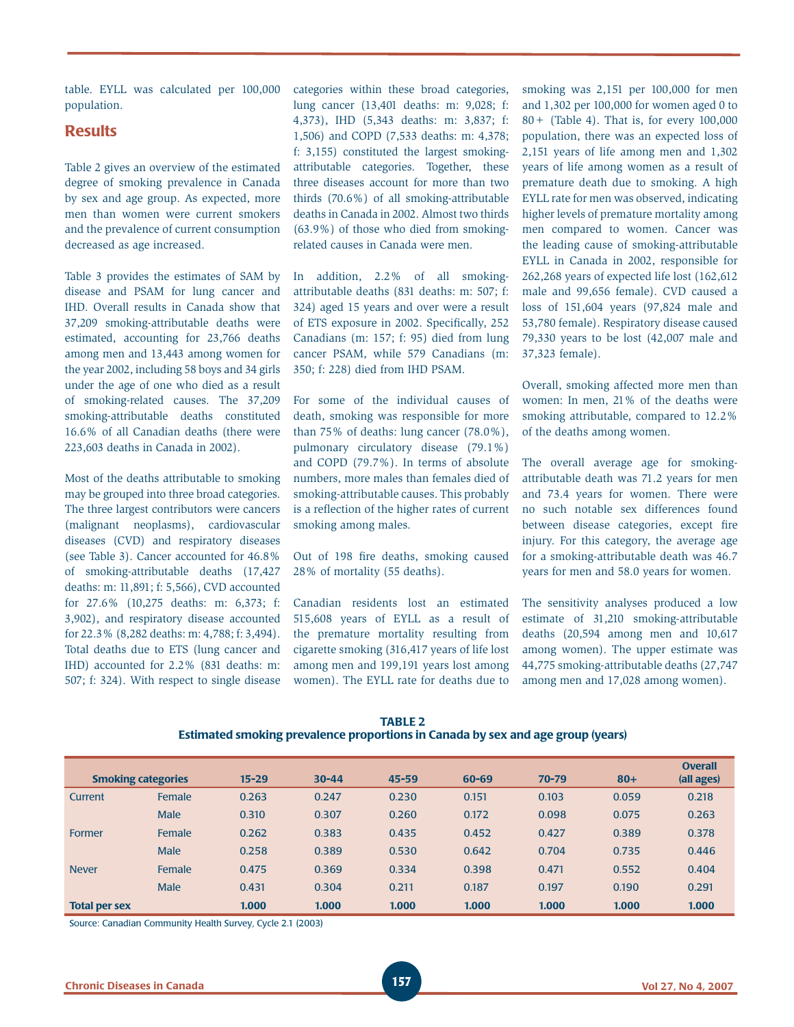table. EYLL was calculated per 100,000 population.

## **Results**

Table 2 gives an overview of the estimated degree of smoking prevalence in Canada by sex and age group. As expected, more men than women were current smokers and the prevalence of current consumption decreased as age increased.

Table 3 provides the estimates of SAM by disease and PSAM for lung cancer and IHD. Overall results in Canada show that 37,209 smoking-attributable deaths were estimated, accounting for 23,766 deaths among men and 13,443 among women for the year 2002, including 58 boys and 34 girls under the age of one who died as a result of smoking-related causes. The 37,209 smoking-attributable deaths constituted 16.6% of all Canadian deaths (there were 223,603 deaths in Canada in 2002).

Most of the deaths attributable to smoking may be grouped into three broad categories. The three largest contributors were cancers (malignant neoplasms), cardiovascular diseases (CVD) and respiratory diseases (see Table 3). Cancer accounted for 46.8% of smoking-attributable deaths (17,427 deaths: m: 11,891; f: 5,566), CVD accounted for 27.6% (10,275 deaths: m: 6,373; f: 3,902), and respiratory disease accounted for 22.3% (8,282 deaths: m: 4,788; f: 3,494). Total deaths due to ETS (lung cancer and IHD) accounted for 2.2% (831 deaths: m: 507; f: 324). With respect to single disease

categories within these broad categories, lung cancer (13,401 deaths: m: 9,028; f: 4,373), IHD (5,343 deaths: m: 3,837; f: 1,506) and COPD (7,533 deaths: m: 4,378; f: 3,155) constituted the largest smokingattributable categories. Together, these three diseases account for more than two thirds (70.6%) of all smoking-attributable deaths in Canada in 2002. Almost two thirds (63.9%) of those who died from smokingrelated causes in Canada were men.

In addition, 2.2% of all smokingattributable deaths (831 deaths: m: 507; f: 324) aged 15 years and over were a result of ETS exposure in 2002. Specifically, 252 Canadians (m: 157; f: 95) died from lung cancer PSAM, while 579 Canadians (m: 350; f: 228) died from IHD PSAM.

For some of the individual causes of death, smoking was responsible for more than 75% of deaths: lung cancer (78.0%), pulmonary circulatory disease (79.1%) and COPD (79.7%). In terms of absolute numbers, more males than females died of smoking-attributable causes. This probably is a reflection of the higher rates of current smoking among males.

Out of 198 fire deaths, smoking caused 28% of mortality (55 deaths).

Canadian residents lost an estimated 515,608 years of EYLL as a result of the premature mortality resulting from cigarette smoking (316,417 years of life lost among men and 199,191 years lost among women). The EYLL rate for deaths due to smoking was 2,151 per 100,000 for men and 1,302 per 100,000 for women aged 0 to 80+ (Table 4). That is, for every 100,000 population, there was an expected loss of 2,151 years of life among men and 1,302 years of life among women as a result of premature death due to smoking. A high EYLL rate for men was observed, indicating higher levels of premature mortality among men compared to women. Cancer was the leading cause of smoking-attributable EYLL in Canada in 2002, responsible for 262,268 years of expected life lost (162,612 male and 99,656 female). CVD caused a loss of 151,604 years (97,824 male and 53,780 female). Respiratory disease caused 79,330 years to be lost (42,007 male and 37,323 female).

Overall, smoking affected more men than women: In men, 21% of the deaths were smoking attributable, compared to 12.2% of the deaths among women.

The overall average age for smokingattributable death was 71.2 years for men and 73.4 years for women. There were no such notable sex differences found between disease categories, except fire injury. For this category, the average age for a smoking-attributable death was 46.7 years for men and 58.0 years for women.

The sensitivity analyses produced a low estimate of 31,210 smoking-attributable deaths (20,594 among men and 10,617 among women). The upper estimate was 44,775 smoking-attributable deaths (27,747 among men and 17,028 among women).

|                                                                                 | <b>TABLE 2</b> |  |  |
|---------------------------------------------------------------------------------|----------------|--|--|
| Estimated smoking prevalence proportions in Canada by sex and age group (years) |                |  |  |

| <b>Smoking categories</b> |             | $15 - 29$ | $30 - 44$ | $45 - 59$ | 60-69 | $70 - 79$ | $80+$ | <b>Overall</b><br>(all ages) |
|---------------------------|-------------|-----------|-----------|-----------|-------|-----------|-------|------------------------------|
| Current                   | Female      | 0.263     | 0.247     | 0.230     | 0.151 | 0.103     | 0.059 | 0.218                        |
|                           | <b>Male</b> | 0.310     | 0.307     | 0.260     | 0.172 | 0.098     | 0.075 | 0.263                        |
| Former                    | Female      | 0.262     | 0.383     | 0.435     | 0.452 | 0.427     | 0.389 | 0.378                        |
|                           | Male        | 0.258     | 0.389     | 0.530     | 0.642 | 0.704     | 0.735 | 0.446                        |
| <b>Never</b>              | Female      | 0.475     | 0.369     | 0.334     | 0.398 | 0.471     | 0.552 | 0.404                        |
|                           | Male        | 0.431     | 0.304     | 0.211     | 0.187 | 0.197     | 0.190 | 0.291                        |
| <b>Total per sex</b>      |             | 1.000     | 1.000     | 1.000     | 1.000 | 1.000     | 1.000 | 1.000                        |

Source: Canadian Community Health Survey, Cycle 2.1 (2003)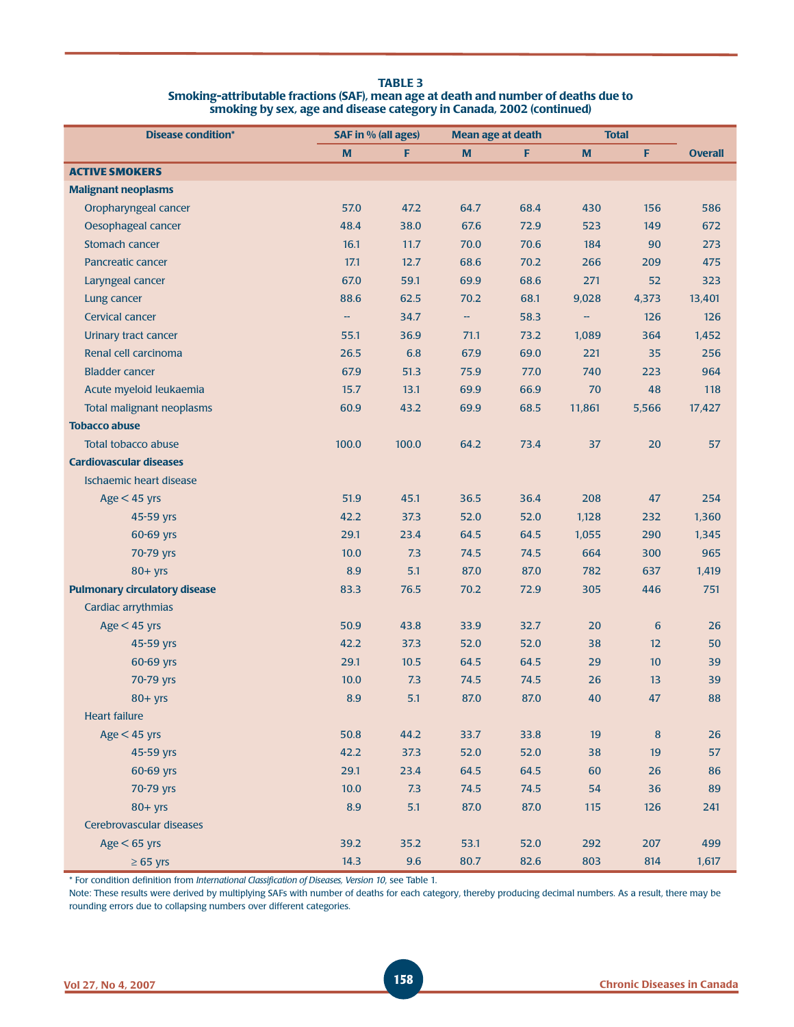| <b>TABLE 3</b>                                                                      |
|-------------------------------------------------------------------------------------|
| Smoking-attributable fractions (SAF), mean age at death and number of deaths due to |
| smoking by sex, age and disease category in Canada, 2002 (continued)                |

| <b>Disease condition*</b>            | <b>SAF in % (all ages)</b> |       | <b>Mean age at death</b> |      | <b>Total</b> |       |                |
|--------------------------------------|----------------------------|-------|--------------------------|------|--------------|-------|----------------|
|                                      | M                          | F     | $\mathbf M$              | F    | M            | F     | <b>Overall</b> |
| <b>ACTIVE SMOKERS</b>                |                            |       |                          |      |              |       |                |
| <b>Malignant neoplasms</b>           |                            |       |                          |      |              |       |                |
| Oropharyngeal cancer                 | 57.0                       | 47.2  | 64.7                     | 68.4 | 430          | 156   | 586            |
| Oesophageal cancer                   | 48.4                       | 38.0  | 67.6                     | 72.9 | 523          | 149   | 672            |
| Stomach cancer                       | 16.1                       | 11.7  | 70.0                     | 70.6 | 184          | 90    | 273            |
| Pancreatic cancer                    | 17.1                       | 12.7  | 68.6                     | 70.2 | 266          | 209   | 475            |
| Laryngeal cancer                     | 67.0                       | 59.1  | 69.9                     | 68.6 | 271          | 52    | 323            |
| Lung cancer                          | 88.6                       | 62.5  | 70.2                     | 68.1 | 9,028        | 4,373 | 13,401         |
| Cervical cancer                      | --                         | 34.7  | 44                       | 58.3 | --           | 126   | 126            |
| Urinary tract cancer                 | 55.1                       | 36.9  | 71.1                     | 73.2 | 1,089        | 364   | 1,452          |
| Renal cell carcinoma                 | 26.5                       | 6.8   | 67.9                     | 69.0 | 221          | 35    | 256            |
| <b>Bladder cancer</b>                | 67.9                       | 51.3  | 75.9                     | 77.0 | 740          | 223   | 964            |
| Acute myeloid leukaemia              | 15.7                       | 13.1  | 69.9                     | 66.9 | 70           | 48    | 118            |
| <b>Total malignant neoplasms</b>     | 60.9                       | 43.2  | 69.9                     | 68.5 | 11,861       | 5,566 | 17,427         |
| <b>Tobacco abuse</b>                 |                            |       |                          |      |              |       |                |
| <b>Total tobacco abuse</b>           | 100.0                      | 100.0 | 64.2                     | 73.4 | 37           | 20    | 57             |
| <b>Cardiovascular diseases</b>       |                            |       |                          |      |              |       |                |
| Ischaemic heart disease              |                            |       |                          |      |              |       |                |
| $Age < 45$ yrs                       | 51.9                       | 45.1  | 36.5                     | 36.4 | 208          | 47    | 254            |
| 45-59 yrs                            | 42.2                       | 37.3  | 52.0                     | 52.0 | 1,128        | 232   | 1,360          |
| 60-69 yrs                            | 29.1                       | 23.4  | 64.5                     | 64.5 | 1,055        | 290   | 1,345          |
| 70-79 yrs                            | 10.0                       | 7.3   | 74.5                     | 74.5 | 664          | 300   | 965            |
| $80+$ yrs                            | 8.9                        | 5.1   | 87.0                     | 87.0 | 782          | 637   | 1,419          |
| <b>Pulmonary circulatory disease</b> | 83.3                       | 76.5  | 70.2                     | 72.9 | 305          | 446   | 751            |
| Cardiac arrythmias                   |                            |       |                          |      |              |       |                |
| $Age < 45$ yrs                       | 50.9                       | 43.8  | 33.9                     | 32.7 | 20           | 6     | 26             |
| 45-59 yrs                            | 42.2                       | 37.3  | 52.0                     | 52.0 | 38           | 12    | 50             |
| 60-69 yrs                            | 29.1                       | 10.5  | 64.5                     | 64.5 | 29           | 10    | 39             |
| 70-79 yrs                            | 10.0                       | 7.3   | 74.5                     | 74.5 | 26           | 13    | 39             |
| $80+$ yrs                            | 8.9                        | 5.1   | 87.0                     | 87.0 | 40           | 47    | 88             |
| <b>Heart failure</b>                 |                            |       |                          |      |              |       |                |
| $Age < 45$ yrs                       | 50.8                       | 44.2  | 33.7                     | 33.8 | 19           | 8     | 26             |
| 45-59 yrs                            | 42.2                       | 37.3  | 52.0                     | 52.0 | 38           | 19    | 57             |
| 60-69 yrs                            | 29.1                       | 23.4  | 64.5                     | 64.5 | 60           | 26    | 86             |
| 70-79 yrs                            | 10.0                       | 7.3   | 74.5                     | 74.5 | 54           | 36    | 89             |
| $80 + yrs$                           | 8.9                        | 5.1   | 87.0                     | 87.0 | 115          | 126   | 241            |
| Cerebrovascular diseases             |                            |       |                          |      |              |       |                |
| $Age < 65$ yrs                       | 39.2                       | 35.2  | 53.1                     | 52.0 | 292          | 207   | 499            |
| $\geq 65$ yrs                        | 14.3                       | 9.6   | 80.7                     | 82.6 | 803          | 814   | 1,617          |

\* For condition defi nition from *International Classifi cation of Diseases, Version 10*, see Table 1.

Note: These results were derived by multiplying SAFs with number of deaths for each category, thereby producing decimal numbers. As a result, there may be rounding errors due to collapsing numbers over different categories.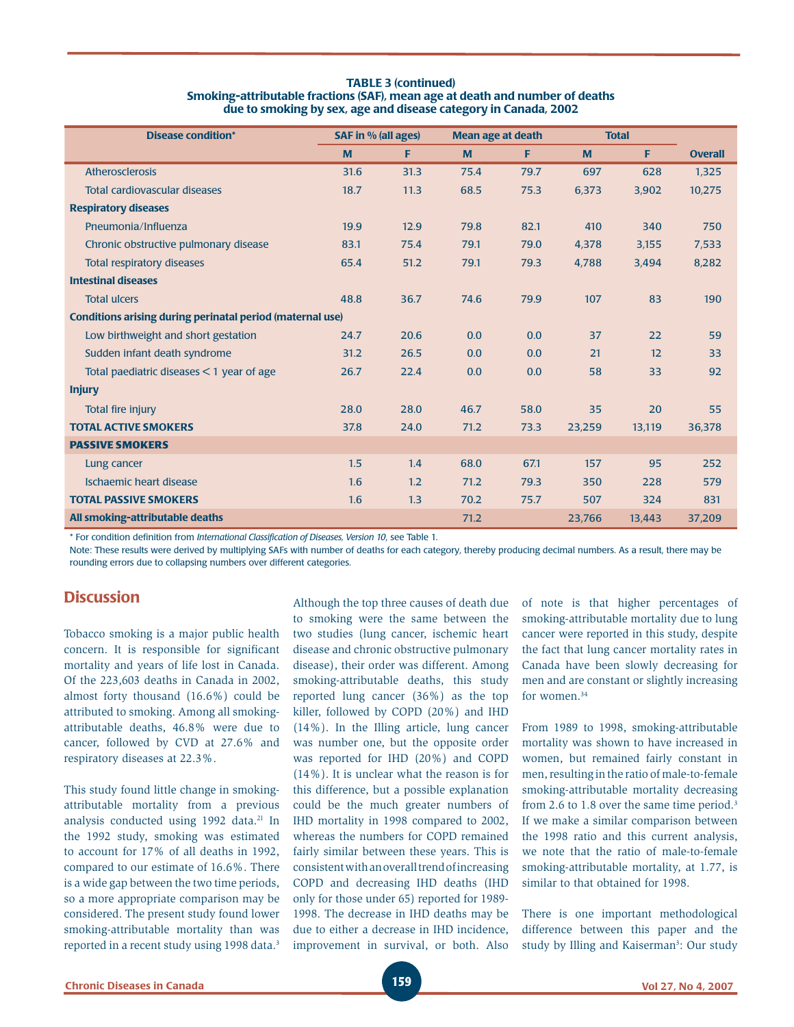| <b>TABLE 3 (continued)</b>                                                   |
|------------------------------------------------------------------------------|
| Smoking-attributable fractions (SAF), mean age at death and number of deaths |
| due to smoking by sex, age and disease category in Canada, 2002              |

| <b>Disease condition*</b>                                        | <b>SAF in % (all ages)</b> |      | <b>Mean age at death</b> |      | <b>Total</b> |        |                |
|------------------------------------------------------------------|----------------------------|------|--------------------------|------|--------------|--------|----------------|
|                                                                  | M                          | F    | M                        | F    | M            | F      | <b>Overall</b> |
| Atherosclerosis                                                  | 31.6                       | 31.3 | 75.4                     | 79.7 | 697          | 628    | 1,325          |
| Total cardiovascular diseases                                    | 18.7                       | 11.3 | 68.5                     | 75.3 | 6,373        | 3,902  | 10,275         |
| <b>Respiratory diseases</b>                                      |                            |      |                          |      |              |        |                |
| Pneumonia/Influenza                                              | 19.9                       | 12.9 | 79.8                     | 82.1 | 410          | 340    | 750            |
| Chronic obstructive pulmonary disease                            | 83.1                       | 75.4 | 79.1                     | 79.0 | 4,378        | 3,155  | 7,533          |
| Total respiratory diseases                                       | 65.4                       | 51.2 | 79.1                     | 79.3 | 4,788        | 3,494  | 8,282          |
| <b>Intestinal diseases</b>                                       |                            |      |                          |      |              |        |                |
| <b>Total ulcers</b>                                              | 48.8                       | 36.7 | 74.6                     | 79.9 | 107          | 83     | 190            |
| <b>Conditions arising during perinatal period (maternal use)</b> |                            |      |                          |      |              |        |                |
| Low birthweight and short gestation                              | 24.7                       | 20.6 | 0.0                      | 0.0  | 37           | 22     | 59             |
| Sudden infant death syndrome                                     | 31.2                       | 26.5 | 0.0                      | 0.0  | 21           | 12     | 33             |
| Total paediatric diseases $<$ 1 year of age                      | 26.7                       | 22.4 | 0.0                      | 0.0  | 58           | 33     | 92             |
| <b>Injury</b>                                                    |                            |      |                          |      |              |        |                |
| Total fire injury                                                | 28.0                       | 28.0 | 46.7                     | 58.0 | 35           | 20     | 55             |
| <b>TOTAL ACTIVE SMOKERS</b>                                      | 37.8                       | 24.0 | 71.2                     | 73.3 | 23,259       | 13,119 | 36,378         |
| <b>PASSIVE SMOKERS</b>                                           |                            |      |                          |      |              |        |                |
| Lung cancer                                                      | 1.5                        | 1.4  | 68.0                     | 67.1 | 157          | 95     | 252            |
| Ischaemic heart disease                                          | 1.6                        | 1.2  | 71.2                     | 79.3 | 350          | 228    | 579            |
| <b>TOTAL PASSIVE SMOKERS</b>                                     | 1.6                        | 1.3  | 70.2                     | 75.7 | 507          | 324    | 831            |
| All smoking-attributable deaths                                  |                            |      | 71.2                     |      | 23,766       | 13,443 | 37,209         |

\* For condition defi nition from *International Classifi cation of Diseases, Version 10*, see Table 1.

Note: These results were derived by multiplying SAFs with number of deaths for each category, thereby producing decimal numbers. As a result, there may be rounding errors due to collapsing numbers over different categories.

## **Discussion**

Tobacco smoking is a major public health concern. It is responsible for significant mortality and years of life lost in Canada. Of the 223,603 deaths in Canada in 2002, almost forty thousand (16.6%) could be attributed to smoking. Among all smokingattributable deaths, 46.8% were due to cancer, followed by CVD at 27.6% and respiratory diseases at 22.3%.

This study found little change in smokingattributable mortality from a previous analysis conducted using 1992 data.<sup>21</sup> In the 1992 study, smoking was estimated to account for 17% of all deaths in 1992, compared to our estimate of 16.6%. There is a wide gap between the two time periods, so a more appropriate comparison may be considered. The present study found lower smoking-attributable mortality than was reported in a recent study using 1998 data.<sup>3</sup> Although the top three causes of death due to smoking were the same between the two studies (lung cancer, ischemic heart disease and chronic obstructive pulmonary disease), their order was different. Among smoking-attributable deaths, this study reported lung cancer (36%) as the top killer, followed by COPD (20%) and IHD (14%). In the Illing article, lung cancer was number one, but the opposite order was reported for IHD (20%) and COPD (14%). It is unclear what the reason is for this difference, but a possible explanation could be the much greater numbers of IHD mortality in 1998 compared to 2002, whereas the numbers for COPD remained fairly similar between these years. This is consistent with an overall trend of increasing COPD and decreasing IHD deaths (IHD only for those under 65) reported for 1989- 1998. The decrease in IHD deaths may be due to either a decrease in IHD incidence, improvement in survival, or both. Also of note is that higher percentages of smoking-attributable mortality due to lung cancer were reported in this study, despite the fact that lung cancer mortality rates in Canada have been slowly decreasing for men and are constant or slightly increasing for women.34

From 1989 to 1998, smoking-attributable mortality was shown to have increased in women, but remained fairly constant in men, resulting in the ratio of male-to-female smoking-attributable mortality decreasing from 2.6 to 1.8 over the same time period.<sup>3</sup> If we make a similar comparison between the 1998 ratio and this current analysis, we note that the ratio of male-to-female smoking-attributable mortality, at 1.77, is similar to that obtained for 1998.

There is one important methodological difference between this paper and the study by Illing and Kaiserman<sup>3</sup>: Our study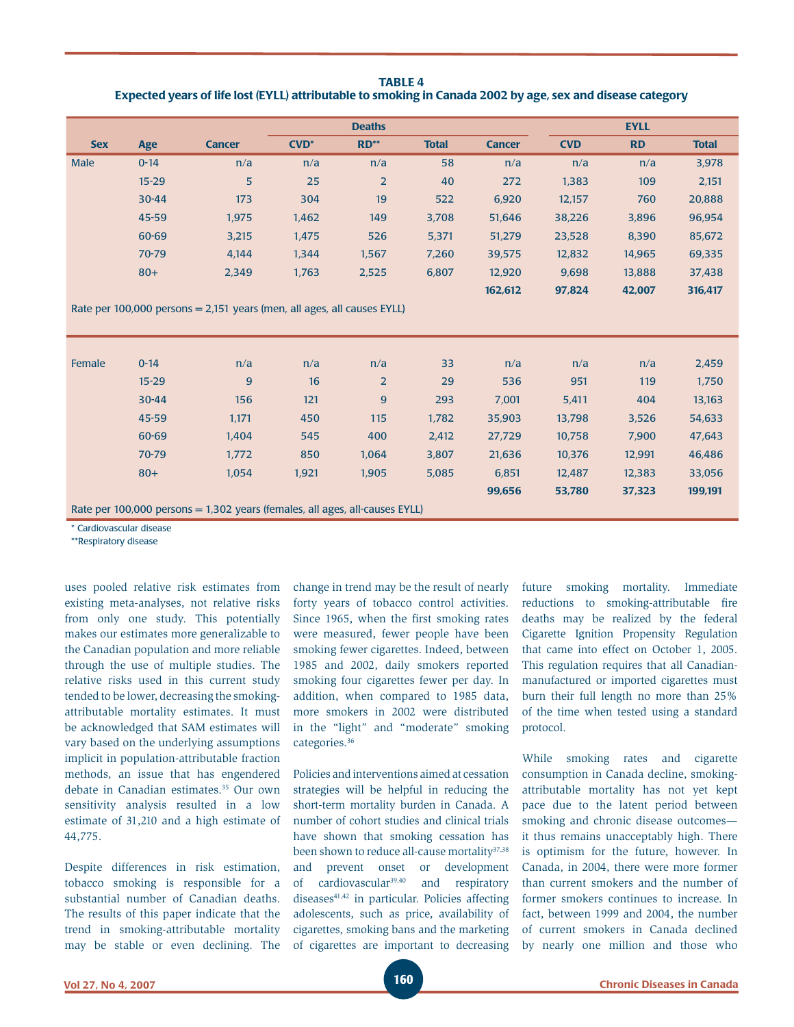**TABLE 4 Expected years of life lost (EYLL) attributable to smoking in Canada 2002 by age, sex and disease category**

| <b>Deaths</b> |           |                |         |                |              |               |            | <b>EYLL</b> |              |
|---------------|-----------|----------------|---------|----------------|--------------|---------------|------------|-------------|--------------|
|               |           |                |         |                |              |               |            |             |              |
| <b>Sex</b>    | Age       | <b>Cancer</b>  | $CVD^*$ | $RD^{**}$      | <b>Total</b> | <b>Cancer</b> | <b>CVD</b> | <b>RD</b>   | <b>Total</b> |
| <b>Male</b>   | $0 - 14$  | n/a            | n/a     | n/a            | 58           | n/a           | n/a        | n/a         | 3,978        |
|               | $15 - 29$ | 5 <sup>5</sup> | 25      | $\overline{2}$ | 40           | 272           | 1,383      | 109         | 2,151        |
|               | $30 - 44$ | 173            | 304     | 19             | 522          | 6,920         | 12,157     | 760         | 20,888       |
|               | 45-59     | 1,975          | 1,462   | 149            | 3.708        | 51,646        | 38,226     | 3,896       | 96,954       |
|               | 60-69     | 3,215          | 1,475   | 526            | 5,371        | 51,279        | 23,528     | 8,390       | 85,672       |
|               | 70-79     | 4.144          | 1,344   | 1,567          | 7,260        | 39,575        | 12,832     | 14,965      | 69,335       |
|               | $80+$     | 2,349          | 1,763   | 2,525          | 6,807        | 12.920        | 9.698      | 13.888      | 37,438       |
|               |           |                |         |                |              | 162,612       | 97,824     | 42,007      | 316,417      |

Rate per 100,000 persons = 2,151 years (men, all ages, all causes EYLL)

| Female | $0 - 14$  | n/a                                                                           | n/a   | n/a            | 33    | n/a    | n/a    | n/a    | 2,459   |
|--------|-----------|-------------------------------------------------------------------------------|-------|----------------|-------|--------|--------|--------|---------|
|        | $15 - 29$ | $\overline{9}$                                                                | 16    | $\overline{2}$ | 29    | 536    | 951    | 119    | 1,750   |
|        | $30 - 44$ | 156                                                                           | 121   | $\overline{9}$ | 293   | 7,001  | 5,411  | 404    | 13,163  |
|        | $45 - 59$ | 1,171                                                                         | 450   | 115            | 1,782 | 35,903 | 13,798 | 3,526  | 54,633  |
|        | 60-69     | 1.404                                                                         | 545   | 400            | 2,412 | 27,729 | 10,758 | 7,900  | 47,643  |
|        | 70-79     | 1,772                                                                         | 850   | 1,064          | 3,807 | 21,636 | 10,376 | 12,991 | 46,486  |
|        | $80+$     | 1.054                                                                         | 1,921 | 1,905          | 5,085 | 6,851  | 12,487 | 12,383 | 33,056  |
|        |           |                                                                               |       |                |       | 99,656 | 53,780 | 37,323 | 199,191 |
|        |           | Rate per 100,000 persons $= 1,302$ years (females, all ages, all-causes EYLL) |       |                |       |        |        |        |         |

Cardiovascular disease

\*\*Respiratory disease

uses pooled relative risk estimates from existing meta-analyses, not relative risks from only one study. This potentially makes our estimates more generalizable to the Canadian population and more reliable through the use of multiple studies. The relative risks used in this current study tended to be lower, decreasing the smokingattributable mortality estimates. It must be acknowledged that SAM estimates will vary based on the underlying assumptions implicit in population-attributable fraction methods, an issue that has engendered debate in Canadian estimates.<sup>35</sup> Our own sensitivity analysis resulted in a low estimate of 31,210 and a high estimate of 44,775.

Despite differences in risk estimation, tobacco smoking is responsible for a substantial number of Canadian deaths. The results of this paper indicate that the trend in smoking-attributable mortality may be stable or even declining. The change in trend may be the result of nearly forty years of tobacco control activities. Since 1965, when the first smoking rates were measured, fewer people have been smoking fewer cigarettes. Indeed, between 1985 and 2002, daily smokers reported smoking four cigarettes fewer per day. In addition, when compared to 1985 data, more smokers in 2002 were distributed in the "light" and "moderate" smoking categories.<sup>36</sup>

Policies and interventions aimed at cessation strategies will be helpful in reducing the short-term mortality burden in Canada. A number of cohort studies and clinical trials have shown that smoking cessation has been shown to reduce all-cause mortality<sup>37,38</sup> and prevent onset or development of cardiovascular39,40 and respiratory diseases<sup>41,42</sup> in particular. Policies affecting adolescents, such as price, availability of cigarettes, smoking bans and the marketing of cigarettes are important to decreasing future smoking mortality. Immediate reductions to smoking-attributable fire deaths may be realized by the federal Cigarette Ignition Propensity Regulation that came into effect on October 1, 2005. This regulation requires that all Canadianmanufactured or imported cigarettes must burn their full length no more than 25% of the time when tested using a standard protocol.

While smoking rates and cigarette consumption in Canada decline, smokingattributable mortality has not yet kept pace due to the latent period between smoking and chronic disease outcomes it thus remains unacceptably high. There is optimism for the future, however. In Canada, in 2004, there were more former than current smokers and the number of former smokers continues to increase. In fact, between 1999 and 2004, the number of current smokers in Canada declined by nearly one million and those who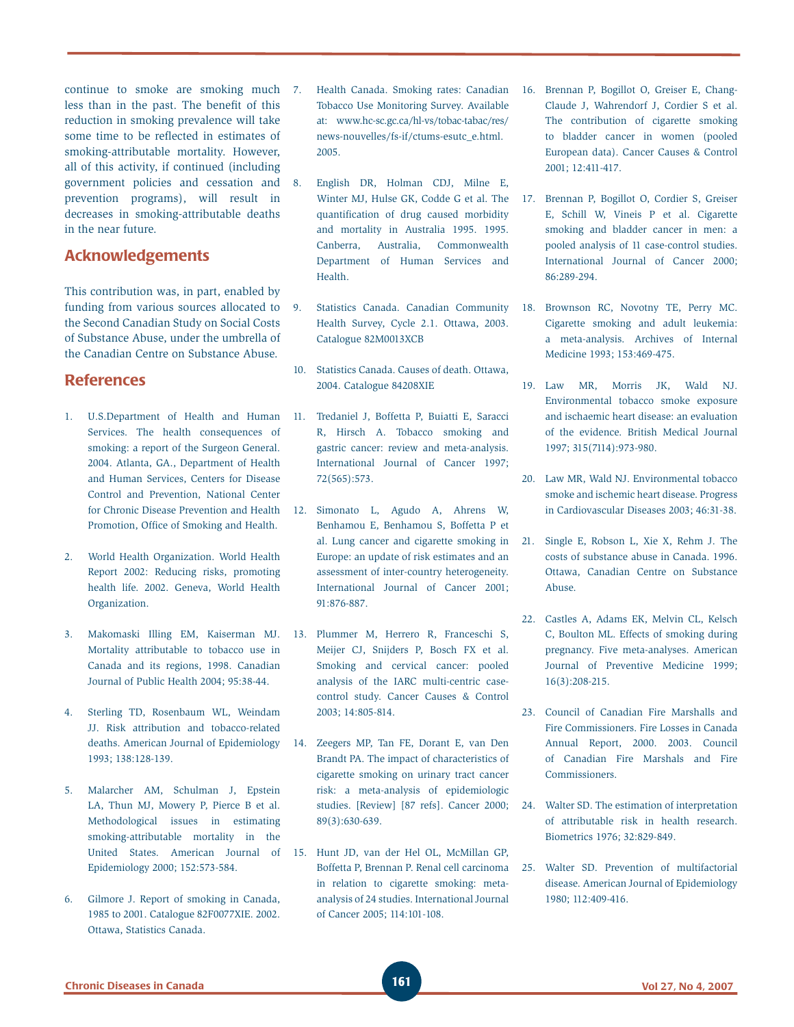continue to smoke are smoking much less than in the past. The benefit of this reduction in smoking prevalence will take some time to be reflected in estimates of smoking-attributable mortality. However, all of this activity, if continued (including government policies and cessation and prevention programs), will result in decreases in smoking-attributable deaths in the near future.

## **Acknowledgements**

This contribution was, in part, enabled by funding from various sources allocated to the Second Canadian Study on Social Costs of Substance Abuse, under the umbrella of the Canadian Centre on Substance Abuse.

## **References**

- 1. U.S.Department of Health and Human Services. The health consequences of smoking: a report of the Surgeon General. 2004. Atlanta, GA., Department of Health and Human Services, Centers for Disease Control and Prevention, National Center for Chronic Disease Prevention and Health Promotion, Office of Smoking and Health.
- 2. World Health Organization. World Health Report 2002: Reducing risks, promoting health life. 2002. Geneva, World Health Organization.
- 3. Makomaski Illing EM, Kaiserman MJ. Mortality attributable to tobacco use in Canada and its regions, 1998. Canadian Journal of Public Health 2004; 95:38-44.
- 4. Sterling TD, Rosenbaum WL, Weindam JJ. Risk attribution and tobacco-related deaths. American Journal of Epidemiology 1993; 138:128-139.
- 5. Malarcher AM, Schulman J, Epstein LA, Thun MJ, Mowery P, Pierce B et al. Methodological issues in estimating smoking-attributable mortality in the United States. American Journal of Epidemiology 2000; 152:573-584.
- 6. Gilmore J. Report of smoking in Canada, 1985 to 2001. Catalogue 82F0077XIE. 2002. Ottawa, Statistics Canada.
- 7. Health Canada. Smoking rates: Canadian Tobacco Use Monitoring Survey. Available at: www.hc-sc.gc.ca/hl-vs/tobac-tabac/res/ news-nouvelles/fs-if/ctums-esutc\_e.html. 2005.
- 8. English DR, Holman CDJ, Milne E, Winter MJ, Hulse GK, Codde G et al. The quantification of drug caused morbidity and mortality in Australia 1995. 1995. Canberra, Australia, Commonwealth Department of Human Services and Health.
- 9. Statistics Canada. Canadian Community Health Survey, Cycle 2.1. Ottawa, 2003. Catalogue 82M0013XCB
- 10. Statistics Canada. Causes of death. Ottawa, 2004. Catalogue 84208XIE
- 11. Tredaniel J, Boffetta P, Buiatti E, Saracci R, Hirsch A. Tobacco smoking and gastric cancer: review and meta-analysis. International Journal of Cancer 1997; 72(565):573.
- 12. Simonato L, Agudo A, Ahrens W, Benhamou E, Benhamou S, Boffetta P et al. Lung cancer and cigarette smoking in Europe: an update of risk estimates and an assessment of inter-country heterogeneity. International Journal of Cancer 2001; 91:876-887.
- 13. Plummer M, Herrero R, Franceschi S, Meijer CJ, Snijders P, Bosch FX et al. Smoking and cervical cancer: pooled analysis of the IARC multi-centric casecontrol study. Cancer Causes & Control 2003; 14:805-814.
- 14. Zeegers MP, Tan FE, Dorant E, van Den Brandt PA. The impact of characteristics of cigarette smoking on urinary tract cancer risk: a meta-analysis of epidemiologic studies. [Review] [87 refs]. Cancer 2000; 89(3):630-639.
- 15. Hunt JD, van der Hel OL, McMillan GP, Boffetta P, Brennan P. Renal cell carcinoma in relation to cigarette smoking: metaanalysis of 24 studies. International Journal of Cancer 2005; 114:101-108.
- 16. Brennan P, Bogillot O, Greiser E, Chang-Claude J, Wahrendorf J, Cordier S et al. The contribution of cigarette smoking to bladder cancer in women (pooled European data). Cancer Causes & Control 2001; 12:411-417.
- 17. Brennan P, Bogillot O, Cordier S, Greiser E, Schill W, Vineis P et al. Cigarette smoking and bladder cancer in men: a pooled analysis of 11 case-control studies. International Journal of Cancer 2000; 86:289-294.
- 18. Brownson RC, Novotny TE, Perry MC. Cigarette smoking and adult leukemia: a meta-analysis. Archives of Internal Medicine 1993; 153:469-475.
- 19. Law MR, Morris JK, Wald NJ. Environmental tobacco smoke exposure and ischaemic heart disease: an evaluation of the evidence. British Medical Journal 1997; 315(7114):973-980.
- 20. Law MR, Wald NJ. Environmental tobacco smoke and ischemic heart disease. Progress in Cardiovascular Diseases 2003; 46:31-38.
- 21. Single E, Robson L, Xie X, Rehm J. The costs of substance abuse in Canada. 1996. Ottawa, Canadian Centre on Substance Abuse.
- 22. Castles A, Adams EK, Melvin CL, Kelsch C, Boulton ML. Effects of smoking during pregnancy. Five meta-analyses. American Journal of Preventive Medicine 1999; 16(3):208-215.
- 23. Council of Canadian Fire Marshalls and Fire Commissioners. Fire Losses in Canada Annual Report, 2000. 2003. Council of Canadian Fire Marshals and Fire Commissioners.
- 24. Walter SD. The estimation of interpretation of attributable risk in health research. Biometrics 1976; 32:829-849.
- 25. Walter SD. Prevention of multifactorial disease. American Journal of Epidemiology 1980; 112:409-416.